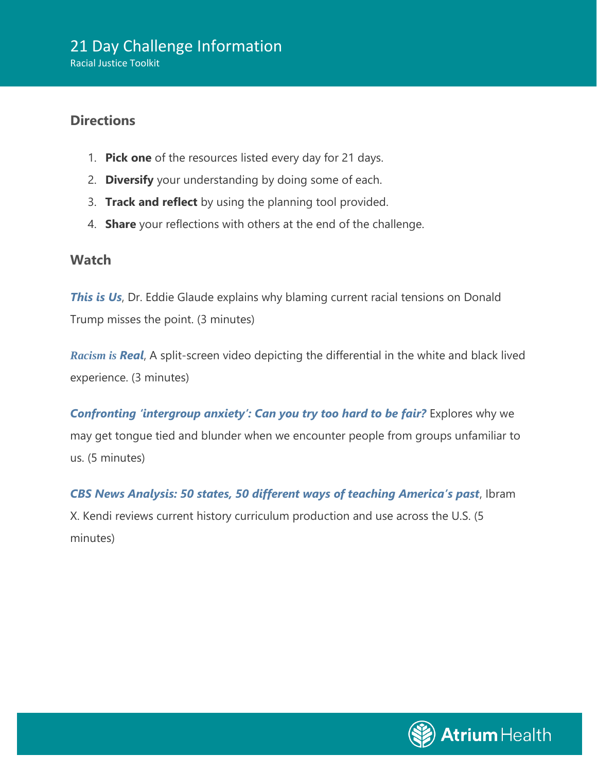## **Directions**

- 1. **Pick one** of the resources listed every day for 21 days.
- 2. **Diversify** your understanding by doing some of each.
- 3. **Track and reflect** by using the planning tool provided.
- 4. **Share** your reflections with others at the end of the challenge.

## **Watch**

**[This is Us](https://www.youtube.com/watch?v=Fe94RTSMh2s&feature=emb_logo)**, Dr. Eddie Glaude explains why blaming current racial tensions on Donald Trump misses the point. (3 minutes)

*[Racism is](http://www.vox.com/2015/4/30/8520305/systemic-racism-video) [Real](http://www.vox.com/2015/4/30/8520305/systemic-racism-video)*, A split-screen video depicting the differential in the white and black lived experience. (3 minutes)

*[Confronting 'intergroup anxiety': Can you try too hard to be fair?](https://www.youtube.com/watch?v=UsBpGmUeAsI)* Explores why we may get tongue tied and blunder when we encounter people from groups unfamiliar to us. (5 minutes)

*[CBS News Analysis: 50 states, 50 different ways of teaching America's past](https://www.cbsnews.com/news/us-history-how-teaching-americas-past-varies-across-the-country/)*, Ibram X. Kendi reviews current history curriculum production and use across the U.S. (5 minutes)

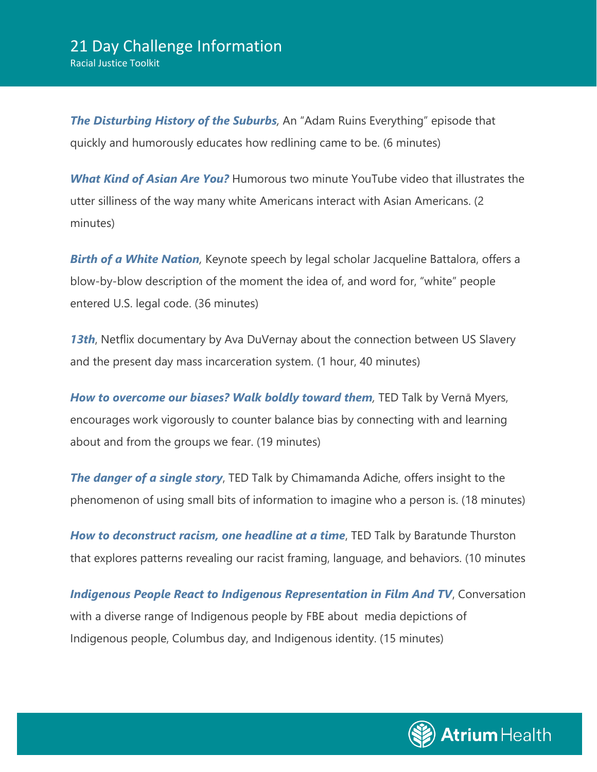### 21 Day Challenge Information Racial Justice Toolkit

**[The Disturbing History of the Suburbs](https://www.youtube.com/watch?v=ETR9qrVS17g)**, An "Adam Ruins Everything" episode that quickly and humorously educates how redlining came to be. (6 minutes)

*[What Kind of Asian Are You?](http://www.youtube.com/watch?v=DWynJkN5HbQ)* Humorous two minute YouTube video that illustrates the utter silliness of the way many white Americans interact with Asian Americans. (2 minutes)

**[Birth of a White Nation](https://www.youtube.com/watch?v=riVAuC0dnP4)**, Keynote speech by legal scholar Jacqueline Battalora, offers a blow-by-blow description of the moment the idea of, and word for, "white" people entered U.S. legal code. (36 minutes)

*[13th](https://www.youtube.com/watch?v=K6IXQbXPO3I)*, Netflix documentary by Ava DuVernay about the connection between US Slavery and the present day mass incarceration system. (1 hour, 40 minutes)

**[How to overcome our biases? Walk boldly toward them](https://www.youtube.com/watch?v=uYyvbgINZkQ)**, TED Talk by Vernā Myers, encourages work vigorously to counter balance bias by connecting with and learning about and from the groups we fear. (19 minutes)

**[The danger of a single story](https://www.ted.com/talks/chimamanda_adichie_the_danger_of_a_single_story?language=en)**, TED Talk by Chimamanda Adiche, offers insight to the phenomenon of using small bits of information to imagine who a person is. (18 minutes)

*[How to deconstruct racism, one headline at a time](https://www.ted.com/talks/baratunde_thurston_how_to_deconstruct_racism_one_headline_at_a_time/transcript?utm_source=newsletter_weekly_2019-05-31&utm_campaign=newsletter_weekly&utm_medium=email&utm_content=talk_of_the_week_button)*, TED Talk by Baratunde Thurston that explores patterns revealing our racist framing, language, and behaviors. (10 minutes

*[Indigenous People React to Indigenous Representation in Film And TV](https://www.youtube.com/watch?v=7ZkyL5pn74E)*, Conversation with a diverse range of Indigenous people by FBE about media depictions of Indigenous people, Columbus day, and Indigenous identity. (15 minutes)

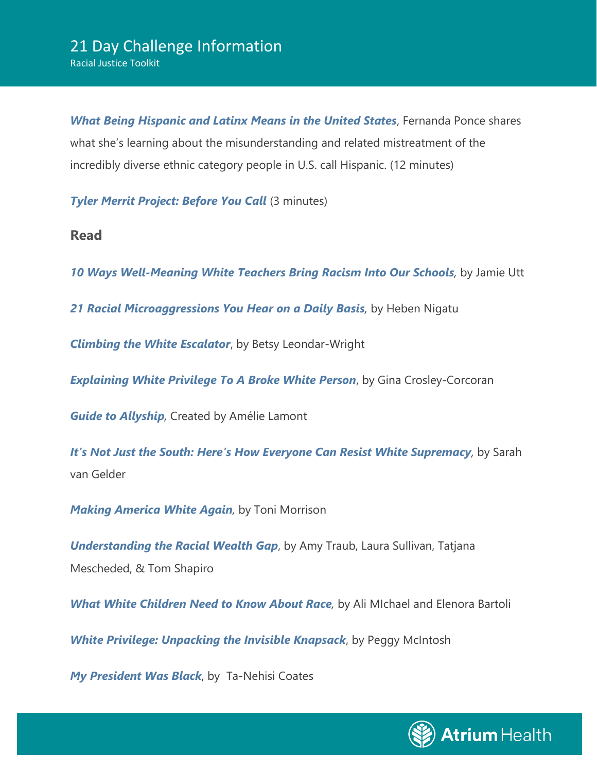*[What Being Hispanic and Latinx Means in the United States](https://www.youtube.com/watch?v=Q1A4Vsh5Qas)*, Fernanda Ponce shares what she's learning about the misunderstanding and related mistreatment of the incredibly diverse ethnic category people in U.S. call Hispanic. (12 minutes)

*[Tyler Merrit Project: Before You Call](https://www.youtube.com/watch?v=oGu_xGBekpo)* (3 minutes)

**Read**

*[10 Ways Well-Meaning White Teachers Bring Racism Into Our Schools](https://everydayfeminism.com/2015/08/10-ways-well-meaning-white-teachers-bring-racism-into-our-schools/),* by Jamie Utt

*[21 Racial Microaggressions You Hear on a Daily Basis](https://www.buzzfeed.com/hnigatu/racial-microagressions-you-hear-on-a-daily-basis?utm_term=.ni4bRwobgw#.gwyda5vde5),* by Heben Nigatu

*[Climbing the White Escalator](http://www.impactpress.com/articles/junjul04/escalator6704.html)*, by Betsy Leondar-Wright

*[Explaining White Privilege To A Broke White Person](https://www.huffpost.com/entry/explaining-white-privilege-to-a-broke-white-person_b_5269255?utm_hp_ref=tw)*, by Gina Crosley-Corcoran

*[Guide to Allyship](http://www.guidetoallyship.com/),* Created by Amélie Lamont

*I[t's Not Just the South: Here's How Everyone Can Resist White Supremacy](https://www.yesmagazine.org/democracy/2017/08/30/its-not-just-the-south-heres-how-everyone-can-resist-white-supremacy/),* by Sarah van Gelder

*[Making America White Again](https://www.newyorker.com/magazine/2016/11/21/making-america-white-again),* by Toni Morrison

*[Understanding the Racial Wealth Gap](http://www.demos.org/sites/default/files/publications/Asset%20Value%20of%20Whiteness.pdf)*, by Amy Traub, Laura Sullivan, Tatjana Mescheded, & Tom Shapiro

*What White Children [Need to Know About Race](http://www.nais.org/Magazines-Newsletters/ISMagazine/Pages/What-White-Children-Need-to-Know-About-Race.aspx),* by Ali MIchael and Elenora Bartoli

*[White Privilege: Unpacking the Invisible Knapsack](https://nationalseedproject.org/Key-SEED-Texts/white-privilege-unpacking-the-invisible-knapsack)*, by Peggy McIntosh

*[My President Was Black](https://www.theatlantic.com/magazine/archive/2017/01/my-president-was-black/508793/)*, by Ta-Nehisi Coates

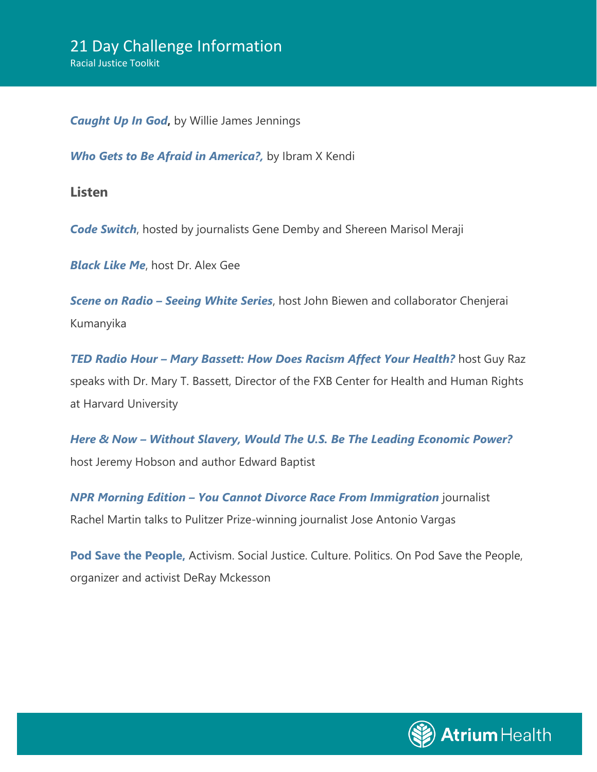*[Caught Up In God](https://www.christiancentury.org/article/how-my-mind-has-changed/caught-god?fbclid=IwAR0sBfXu7jGmlSAWxzXGqgVws7VfAJBV1XdDQF-wLWbhAMOFjSFZYjIz_1Y)***,** by Willie James Jennings

**[Who Gets to Be Afraid in America?,](https://www.theatlantic.com/ideas/archive/2020/05/ahmaud-arbery/611539/)** by Ibram X Kendi

**Listen**

*[Code Switch](http://www.npr.org/podcasts/510312/codeswitch)*, hosted by journalists Gene Demby and Shereen Marisol Meraji

*[Black Like Me](https://www.alexgee.com/category/blacklikeme/)*, host Dr. Alex Gee

*Scene on Radio – [Seeing White Series](https://www.sceneonradio.org/episode-31-turning-the-lens-seeing-white-part-1/)*, host John Biewen and collaborator Chenjerai Kumanyika

*TED Radio Hour - [Mary Bassett: How Does Racism Affect Your Health?](https://www.kvpr.org/post/mary-bassett-how-does-racism-affect-your-health)* **host Guy Raz** speaks with Dr. Mary T. Bassett, Director of the FXB Center for Health and Human Rights at Harvard University

*Here & Now – [Without Slavery, Would The U.S. Be The Leading Economic Power?](https://www.wbur.org/hereandnow/2014/11/19/slavery-economy-baptist)* host Jeremy Hobson and author Edward Baptist

*NPR Morning Edition – [You Cannot Divorce Race From Immigration](https://www.npr.org/2019/05/08/721329196/you-cannot-divorce-race-from-immigration-jose-antonio-vargas-says)* journalist Rachel Martin talks to Pulitzer Prize-winning journalist Jose Antonio Vargas

**[Pod Save the People,](https://crooked.com/podcast-series/pod-save-the-people/)** Activism. Social Justice. Culture. Politics. On Pod Save the People, organizer and activist DeRay Mckesson